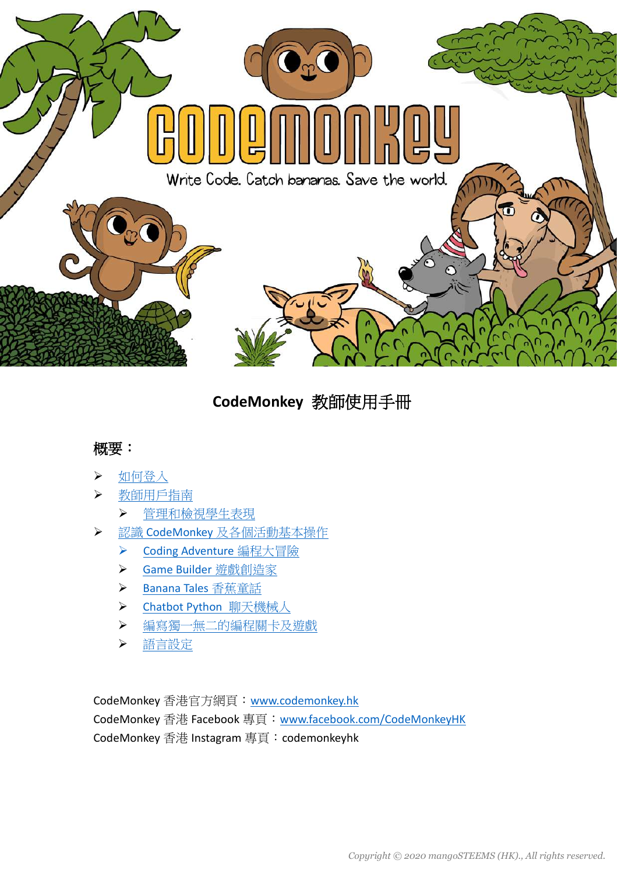

# **CodeMonkey** 教師使用手冊

### 概要:

- [如何登入](#page-1-0)
- [教師用戶指南](#page-3-0)
	- [管理和檢視學生表現](#page-4-0)
- > 認識 CodeMonkey [及各個活動基本操作](#page-7-0)
	- ▶ [Coding Adventure](#page--1-0) 編程大冒險
	- ▶ [Game Builder](#page--1-0) 遊戲創造家
	- [Banana Tales](#page--1-0) 香蕉童話
	- ▶ [Chatbot Python](#page-8-0) 聊天機械人
	- > [編寫獨一無二的編程關卡及遊](#page--1-0)戲
	- [語言設定](#page--1-0)

CodeMonkey 香港官方網頁:[www.codemonkey.hk](http://www.codemonkey.hk/) CodeMonkey 香港 Facebook 專頁: [www.facebook.com/CodeMonkeyHK](http://www.facebook.com/CodeMonkeyHK) CodeMonkey 香港 Instagram 專頁: codemonkeyhk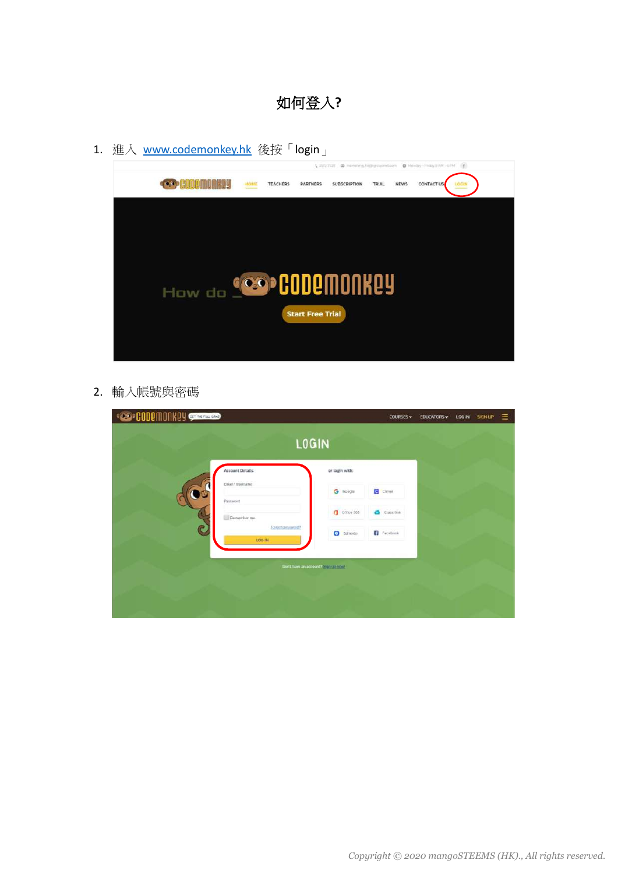- 如何登入**?**
- <span id="page-1-0"></span>1. 進入 [www.codemonkey.hk](http://www.codemonkey.hk/) 後按「login」



2. 輸入帳號與密碼

| <b>CODEMONIALY STATE</b> |                                    |                                    |                | <b>COURSES v</b>  | <b>EDUCATORS</b> v | LOG IN | SIGN UP | Ξ |
|--------------------------|------------------------------------|------------------------------------|----------------|-------------------|--------------------|--------|---------|---|
|                          |                                    | <b>LOGIN</b>                       |                |                   |                    |        |         |   |
|                          | <b>Account Details</b>             |                                    | or login with: |                   |                    |        |         |   |
|                          | Email / Usemanie<br>Password       |                                    | G Google       | <b>B</b> Dieser   |                    |        |         |   |
|                          | Remember me                        |                                    | Othee 366      | Class time        |                    |        |         |   |
| C                        | Forgot passworld?<br><b>106 IN</b> |                                    | G Edmodo       | <b>C</b> Facebook |                    |        |         |   |
|                          |                                    |                                    |                |                   |                    |        |         |   |
|                          |                                    | Don't have an account? Separations |                |                   |                    |        |         |   |
|                          |                                    |                                    |                |                   |                    |        |         |   |
|                          |                                    |                                    |                |                   |                    |        |         |   |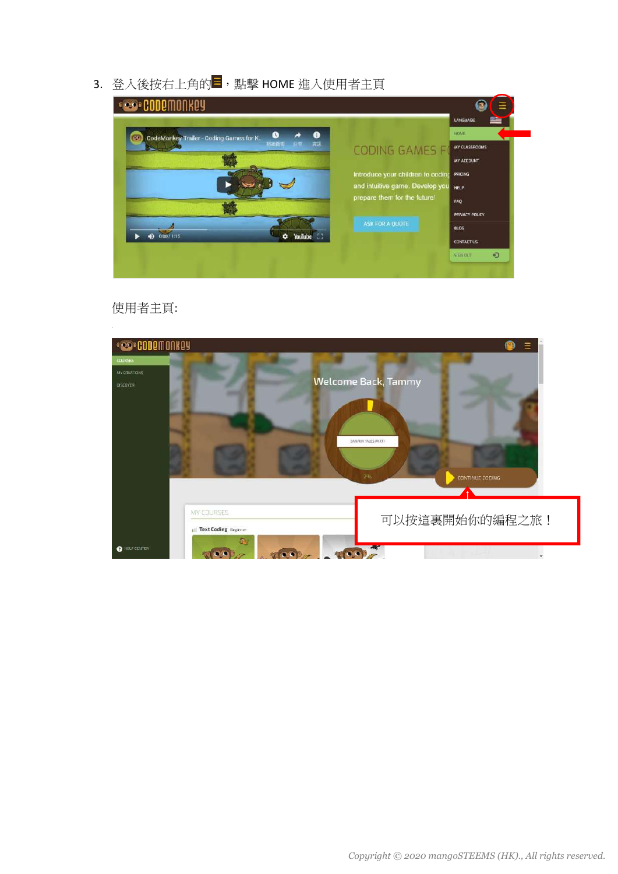3. 登入後按右上角的 ,點擊 HOME 進入使用者主頁



使用者主頁:

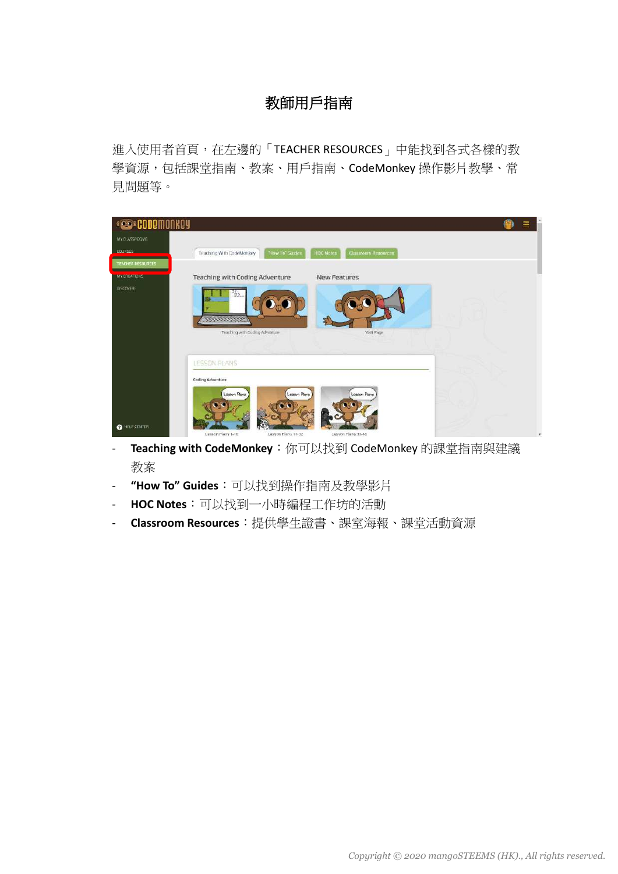## 教師用戶指南

<span id="page-3-0"></span>進入使用者首頁,在左邊的「TEACHER RESOURCES」中能找到各式各樣的教 學資源,包括課堂指南、教案、用戶指南、CodeMonkey 操作影片教學、常 見問題等。

| <b>COPCODEMO</b>         |                                                                                                              |              |
|--------------------------|--------------------------------------------------------------------------------------------------------------|--------------|
| MY CLASSROOMS            |                                                                                                              |              |
| <b>LOURSES</b>           | Teaching With CodeMonkey<br>"How To" Guides<br><b>HOC Notes</b><br>Classroom Resources                       |              |
| <b>TEACHER RESOURCES</b> |                                                                                                              |              |
| MY CREATIONS!            | <b>New Features</b><br><b>Teaching with Coding Adventure</b>                                                 |              |
| <b>DISCOVER</b>          | 31.<br>Teaching with Coding Adventure<br>Visit Page                                                          |              |
|                          | LESSON PLANS                                                                                                 |              |
|                          | <b>Coding Adventure</b>                                                                                      |              |
| <b>O</b> HELP CENTER     | Leason Plans<br>Lesson Plans<br>Leason Pans<br>Lesson Plans 1-16<br>Lesson Plans 17-32<br>Lesson Plans 33-48 | $\mathbf{v}$ |

- **Teaching with CodeMonkey**:你可以找到 CodeMonkey 的課堂指南與建議 教案
- **"How To" Guides**:可以找到操作指南及教學影片
- **HOC Notes**:可以找到一小時編程工作坊的活動
- **Classroom Resources**:提供學生證書、課室海報、課堂活動資源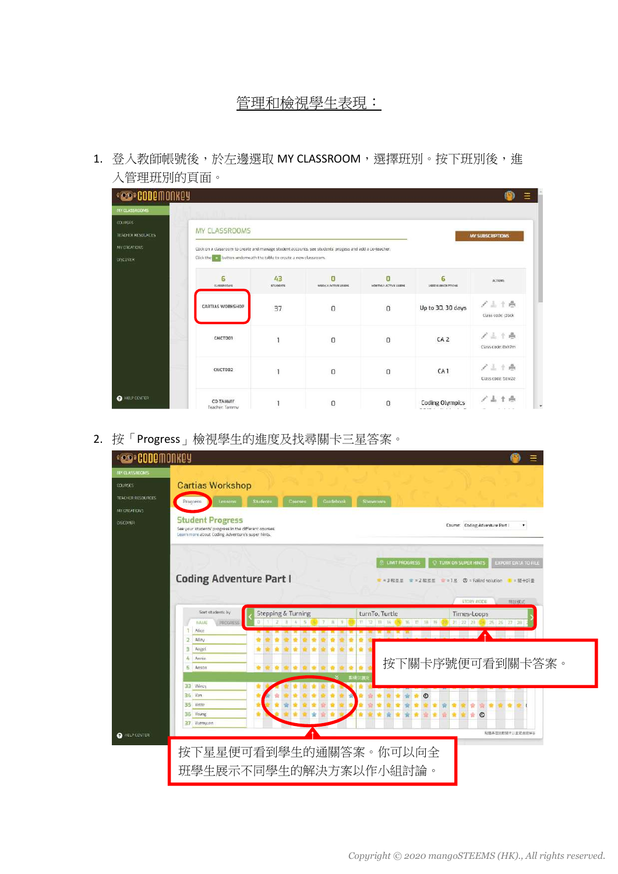#### 管理和檢視學生表現:

<span id="page-4-0"></span>1. 登入教師帳號後,於左邊選取 MY CLASSROOM,選擇班別。按下班別後,進 入管理班別的頁面。

| MY CLASSROOMS                              |                                                                                                                                                                                            |                       |                          |                           |                        |                              |
|--------------------------------------------|--------------------------------------------------------------------------------------------------------------------------------------------------------------------------------------------|-----------------------|--------------------------|---------------------------|------------------------|------------------------------|
| <b>COURSES</b><br><b>TEACHER RESOURCES</b> | MY CLASSROOMS                                                                                                                                                                              |                       |                          |                           |                        |                              |
| MY DREATIONS<br>DISCOVER                   | Click on a classroom to create and manage student accounts, see students progess and add a co-teacher.<br>Click the <b>Computer of the control of the table</b> to create a new classroom. |                       |                          |                           |                        |                              |
|                                            | 6<br><b>CLASSROOMS</b>                                                                                                                                                                     | 43<br><b>STUDENTS</b> | п<br>WEEKLY ACTIVE USERS | n<br>MONTHLY ACTIVE USERS | 6<br>USED SUBSCRIMIDAS | ACTIONS:                     |
|                                            | <b>CARTIAS WORKSHOP</b>                                                                                                                                                                    | 37                    | $\Omega$                 | $\Box$                    | Up to 30, 30 days      | $1 + 10$<br>Class code: B6ck |
|                                            | <b>EMCTOO1</b>                                                                                                                                                                             | h                     | O                        | $\Omega$                  | CA <sub>2</sub>        | ノミイ岳<br>Class code: Bxh7m    |
|                                            | CMCT002                                                                                                                                                                                    |                       | O                        | O                         | CA <sub>1</sub>        | 7114<br>Class code: 5ew2e    |
| <b>O</b> HELP CENTER                       | CO-TAMMY<br>Teacher: Tammy                                                                                                                                                                 |                       | 0                        | 0                         | <b>Coding Olympics</b> |                              |

2. 按「Progress」檢視學生的進度及找尋關卡三星答案。

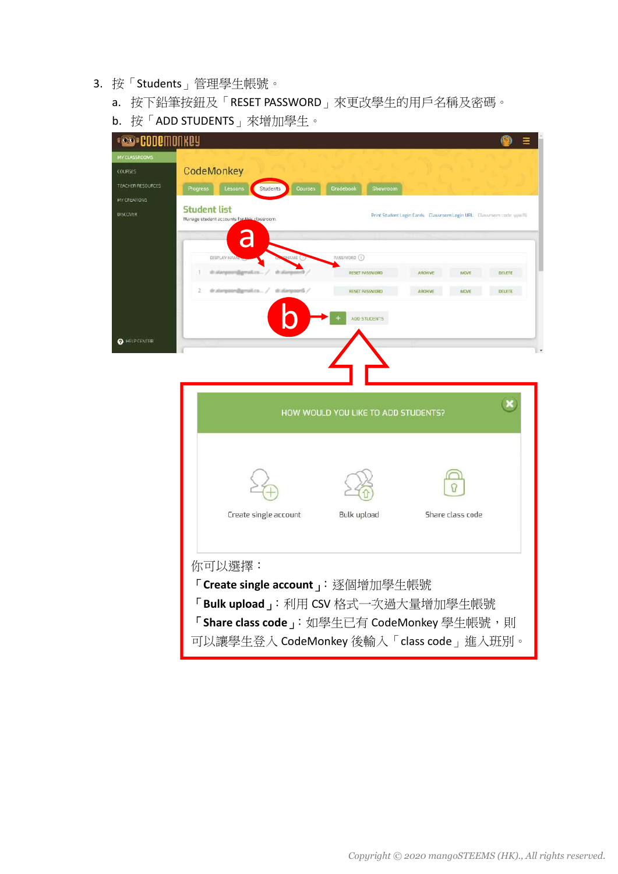- 3. 按「Students」管理學生帳號。
	- a. 按下鉛筆按鈕及「RESET PASSWORD」來更改學生的用戶名稱及密碼。
	- b. 按「ADD STUDENTS」來增加學生。

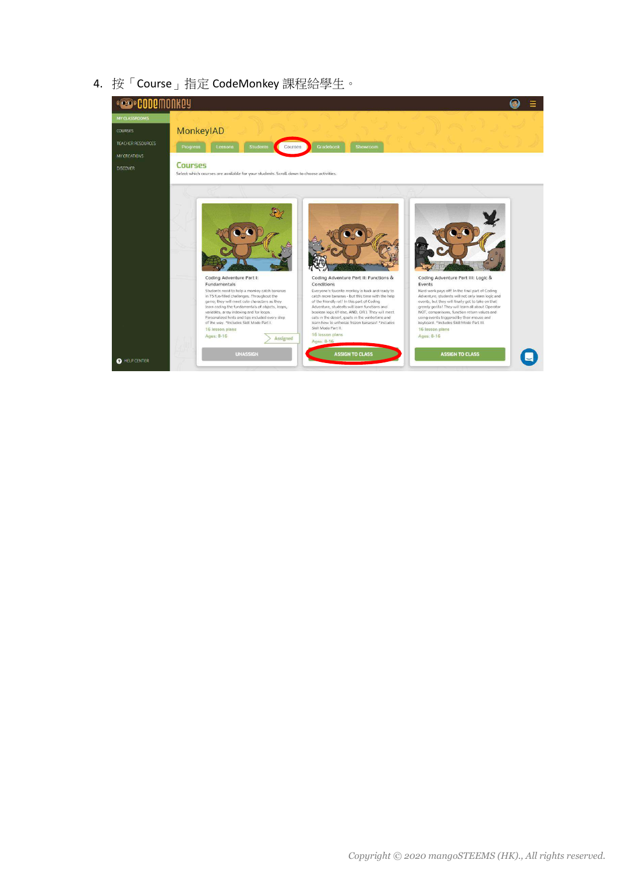4. 按「Course」指定 CodeMonkey 課程給學生。

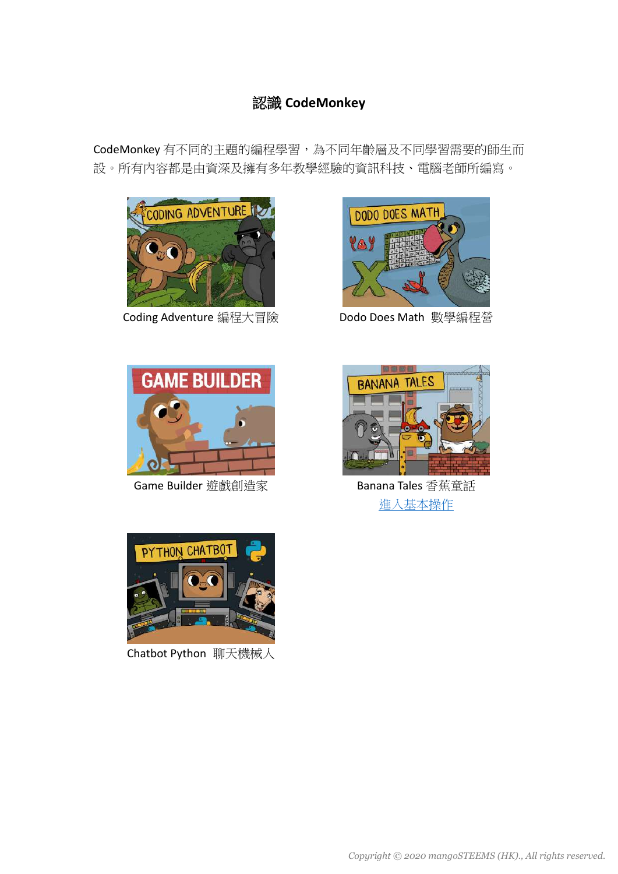### 認識 **CodeMonkey**

<span id="page-7-0"></span>CodeMonkey 有不同的主題的編程學習,為不同年齡層及不同學習需要的師生而 設。所有內容都是由資深及擁有多年教學經驗的資訊科技、電腦老師所編寫。





Coding Adventure 編程大冒險 Dodo Does Math 數學編程營



Game Builder 遊戲創造家 **Banana Tales 香蕉童話** 



[進入基本操作](#page-8-0)



Chatbot Python 聊天機械人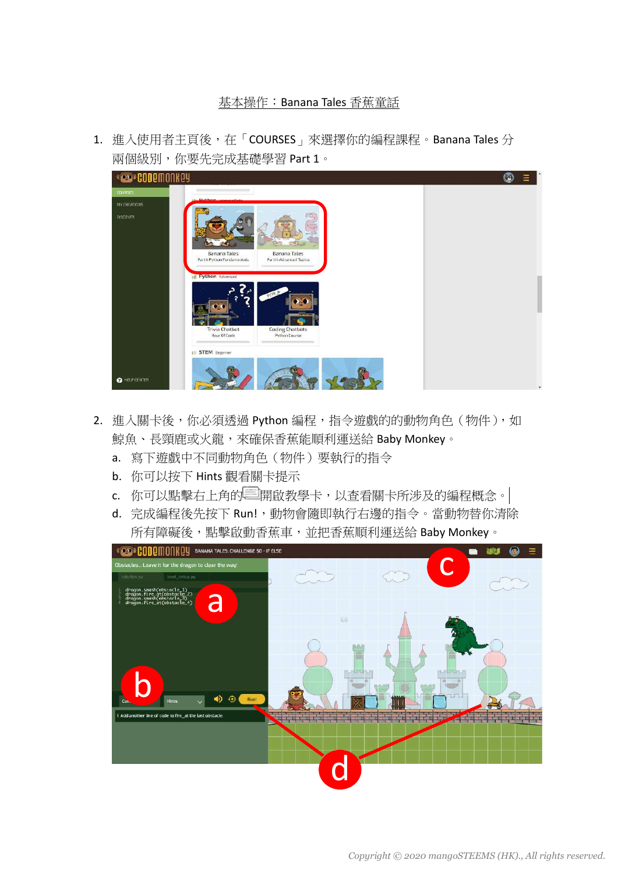#### 基本操作:Banana Tales 香蕉童話

<span id="page-8-0"></span>1. 進入使用者主頁後,在「COURSES」來選擇你的編程課程。Banana Tales 分 兩個級別,你要先完成基礎學習 Part 1。



- 2. 進入關卡後,你必須透過 Python 編程,指令遊戲的的動物角色(物件),如 鯨魚、長頸鹿或火龍,來確保香蕉能順利運送給 Baby Monkey。
	- a. 寫下遊戲中不同動物角色(物件)要執行的指令
	- b. 你可以按下 Hints 觀看關卡提示
	- c. 你可以點擊右上角的 啊開啟教學卡,以查看關卡所涉及的編程概念。
	- d. 完成編程後先按下 Run!, 動物會隨即執行右邊的指令。當動物替你清除 所有障礙後,點擊啟動香蕉車,並把香蕉順利運送給 Baby Monkey。

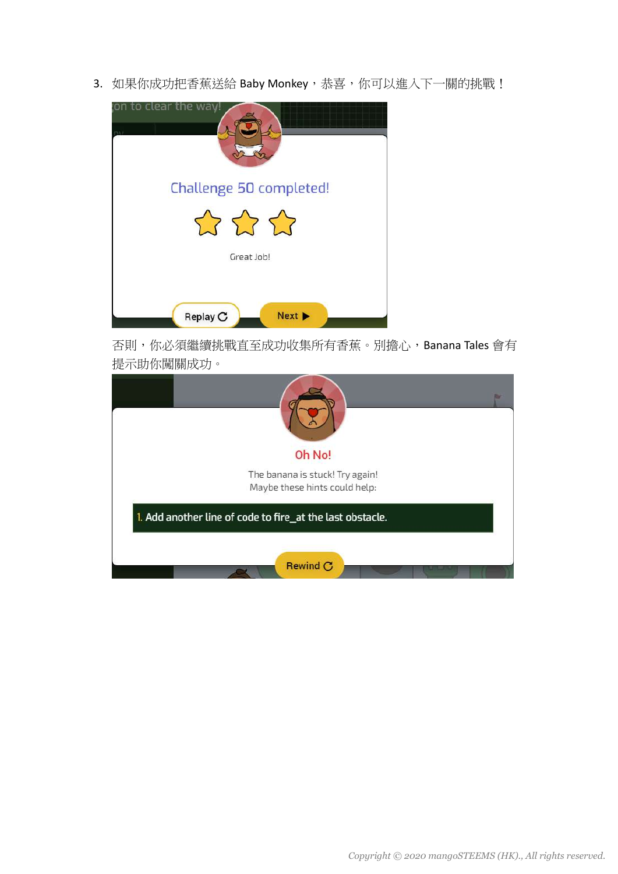3. 如果你成功把香蕉送給 Baby Monkey, 恭喜, 你可以進入下一關的挑戰!



否則,你必須繼續挑戰直至成功收集所有香蕉。別擔心,Banana Tales 會有 提示助你闖關成功。